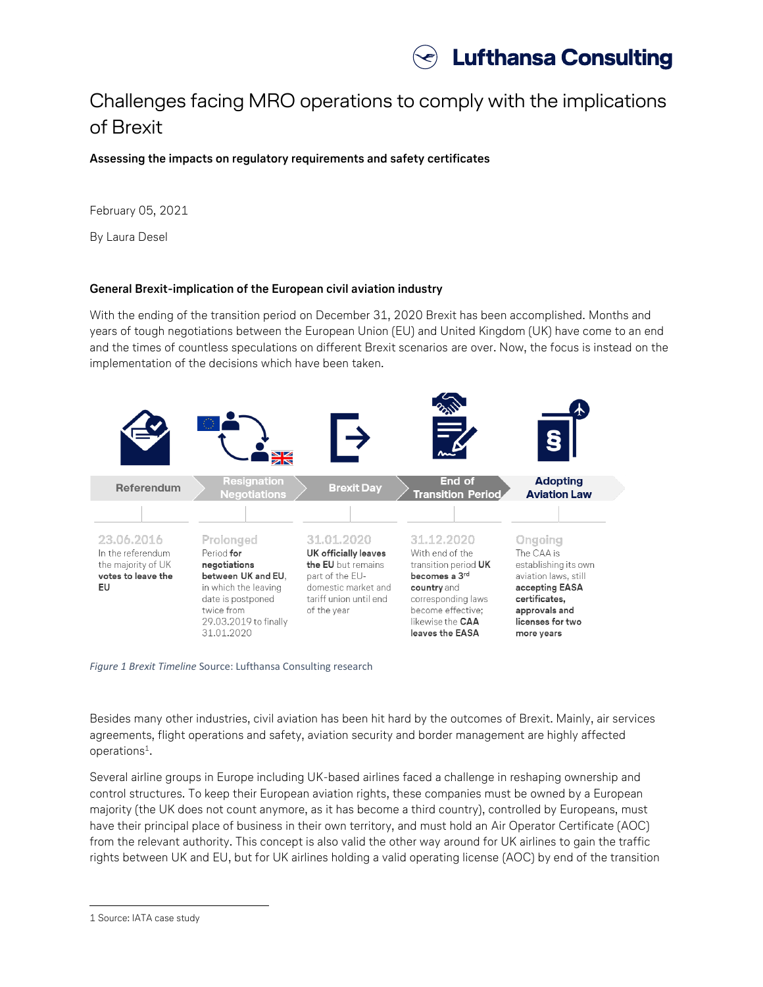

## Challenges facing MRO operations to comply with the implications of Brexit

**Assessing the impacts on regulatory requirements and safety certificates**

February 05, 2021

By Laura Desel

## **General Brexit-implication of the European civil aviation industry**

With the ending of the transition period on December 31, 2020 Brexit has been accomplished. Months and years of tough negotiations between the European Union (EU) and United Kingdom (UK) have come to an end and the times of countless speculations on different Brexit scenarios are over. Now, the focus is instead on the implementation of the decisions which have been taken.



*Figure 1 Brexit Timeline* Source: Lufthansa Consulting research

Besides many other industries, civil aviation has been hit hard by the outcomes of Brexit. Mainly, air services agreements, flight operations and safety, aviation security and border management are highly affected operations<sup>1</sup>.

Several airline groups in Europe including UK-based airlines faced a challenge in reshaping ownership and control structures. To keep their European aviation rights, these companies must be owned by a European majority (the UK does not count anymore, as it has become a third country), controlled by Europeans, must have their principal place of business in their own territory, and must hold an Air Operator Certificate (AOC) from the relevant authority. This concept is also valid the other way around for UK airlines to gain the traffic rights between UK and EU, but for UK airlines holding a valid operating license (AOC) by end of the transition

 $\overline{\phantom{a}}$ 

<sup>1</sup> Source: IATA case study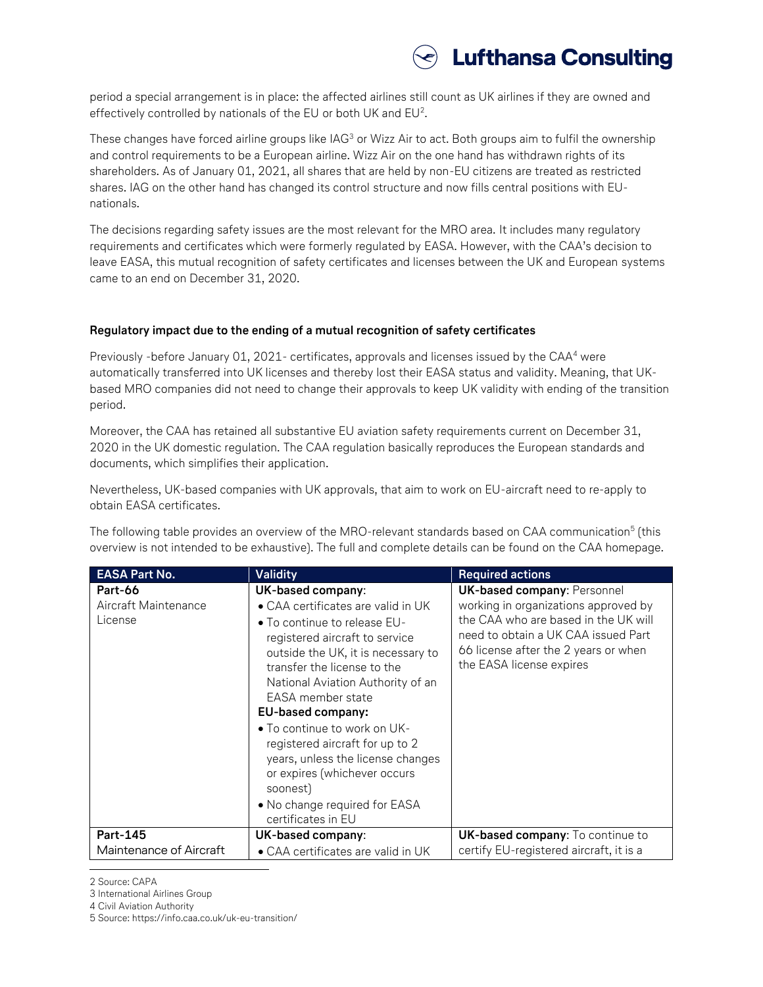

period a special arrangement is in place: the affected airlines still count as UK airlines if they are owned and effectively controlled by nationals of the EU or both UK and EU<sup>2</sup>.

These changes have forced airline groups like IAG<sup>3</sup> or Wizz Air to act. Both groups aim to fulfil the ownership and control requirements to be a European airline. Wizz Air on the one hand has withdrawn rights of its shareholders. As of January 01, 2021, all shares that are held by non-EU citizens are treated as restricted shares. IAG on the other hand has changed its control structure and now fills central positions with EUnationals.

The decisions regarding safety issues are the most relevant for the MRO area. It includes many regulatory requirements and certificates which were formerly regulated by EASA. However, with the CAA's decision to leave EASA, this mutual recognition of safety certificates and licenses between the UK and European systems came to an end on December 31, 2020.

## **Regulatory impact due to the ending of a mutual recognition of safety certificates**

Previously -before January 01, 2021- certificates, approvals and licenses issued by the CAA<sup>4</sup> were automatically transferred into UK licenses and thereby lost their EASA status and validity. Meaning, that UKbased MRO companies did not need to change their approvals to keep UK validity with ending of the transition period.

Moreover, the CAA has retained all substantive EU aviation safety requirements current on December 31, 2020 in the UK domestic regulation. The CAA regulation basically reproduces the European standards and documents, which simplifies their application.

Nevertheless, UK-based companies with UK approvals, that aim to work on EU-aircraft need to re-apply to obtain EASA certificates.

The following table provides an overview of the MRO-relevant standards based on CAA communication<sup>5</sup> (this overview is not intended to be exhaustive). The full and complete details can be found on the CAA homepage.

| <b>EASA Part No.</b>                       | Validity                                                                                                                                                                                                                                                                                                                                                                                                                                                                                                 | <b>Required actions</b>                                                                                                                                                                                                       |
|--------------------------------------------|----------------------------------------------------------------------------------------------------------------------------------------------------------------------------------------------------------------------------------------------------------------------------------------------------------------------------------------------------------------------------------------------------------------------------------------------------------------------------------------------------------|-------------------------------------------------------------------------------------------------------------------------------------------------------------------------------------------------------------------------------|
| Part-66<br>Aircraft Maintenance<br>License | UK-based company:<br>$\bullet$ CAA certificates are valid in UK<br>$\bullet$ To continue to release EU-<br>registered aircraft to service<br>outside the UK, it is necessary to<br>transfer the license to the<br>National Aviation Authority of an<br>EASA member state<br>EU-based company:<br>• To continue to work on UK-<br>registered aircraft for up to 2<br>years, unless the license changes<br>or expires (whichever occurs<br>soonest)<br>• No change required for EASA<br>certificates in EU | <b>UK-based company: Personnel</b><br>working in organizations approved by<br>the CAA who are based in the UK will<br>need to obtain a UK CAA issued Part<br>66 license after the 2 years or when<br>the EASA license expires |
| <b>Part-145</b><br>Maintenance of Aircraft | UK-based company:<br>• CAA certificates are valid in UK                                                                                                                                                                                                                                                                                                                                                                                                                                                  | <b>UK-based company:</b> To continue to<br>certify EU-registered aircraft, it is a                                                                                                                                            |

 $\overline{\phantom{a}}$ 2 Source: CAPA

4 Civil Aviation Authority

5 Source: https://info.caa.co.uk/uk-eu-transition/

<sup>3</sup> International Airlines Group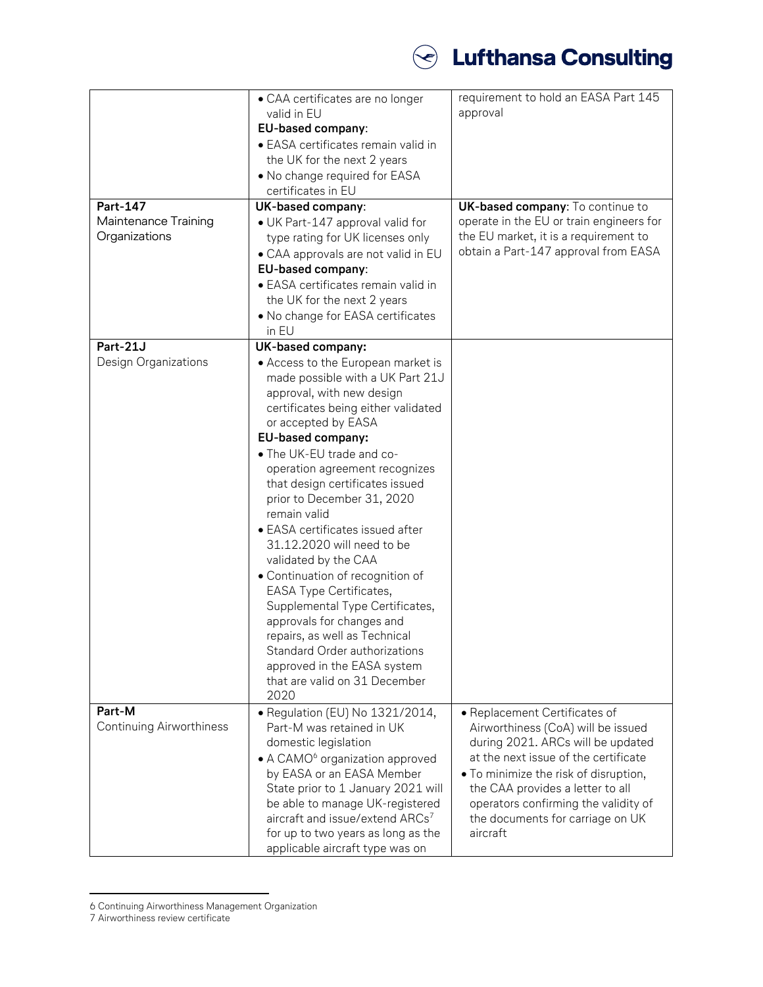

| Part-147<br>Maintenance Training<br>Organizations | • CAA certificates are no longer<br>valid in EU<br>EU-based company:<br>• EASA certificates remain valid in<br>the UK for the next 2 years<br>• No change required for EASA<br>certificates in EU<br>UK-based company:<br>• UK Part-147 approval valid for<br>type rating for UK licenses only<br>• CAA approvals are not valid in EU<br>EU-based company:<br>• EASA certificates remain valid in<br>the UK for the next 2 years<br>• No change for EASA certificates<br>in EU                                                                                                                                                                                                                                                 | requirement to hold an EASA Part 145<br>approval<br>UK-based company: To continue to<br>operate in the EU or train engineers for<br>the EU market, it is a requirement to<br>obtain a Part-147 approval from EASA                                                                                                     |
|---------------------------------------------------|--------------------------------------------------------------------------------------------------------------------------------------------------------------------------------------------------------------------------------------------------------------------------------------------------------------------------------------------------------------------------------------------------------------------------------------------------------------------------------------------------------------------------------------------------------------------------------------------------------------------------------------------------------------------------------------------------------------------------------|-----------------------------------------------------------------------------------------------------------------------------------------------------------------------------------------------------------------------------------------------------------------------------------------------------------------------|
| Part-21J<br>Design Organizations                  | UK-based company:<br>• Access to the European market is<br>made possible with a UK Part 21J<br>approval, with new design<br>certificates being either validated<br>or accepted by EASA<br>EU-based company:<br>• The UK-EU trade and co-<br>operation agreement recognizes<br>that design certificates issued<br>prior to December 31, 2020<br>remain valid<br>• EASA certificates issued after<br>31.12.2020 will need to be<br>validated by the CAA<br>• Continuation of recognition of<br>EASA Type Certificates,<br>Supplemental Type Certificates,<br>approvals for changes and<br>repairs, as well as Technical<br>Standard Order authorizations<br>approved in the EASA system<br>that are valid on 31 December<br>2020 |                                                                                                                                                                                                                                                                                                                       |
| Part-M<br>Continuing Airworthiness                | · Regulation (EU) No 1321/2014,<br>Part-M was retained in UK<br>domestic legislation<br>• A CAMO <sup>6</sup> organization approved<br>by EASA or an EASA Member<br>State prior to 1 January 2021 will<br>be able to manage UK-registered<br>aircraft and issue/extend ARCs <sup>7</sup><br>for up to two years as long as the<br>applicable aircraft type was on                                                                                                                                                                                                                                                                                                                                                              | • Replacement Certificates of<br>Airworthiness (CoA) will be issued<br>during 2021. ARCs will be updated<br>at the next issue of the certificate<br>• To minimize the risk of disruption,<br>the CAA provides a letter to all<br>operators confirming the validity of<br>the documents for carriage on UK<br>aircraft |

<sup>6</sup> Continuing Airworthiness Management Organization

7 Airworthiness review certificate

 $\overline{a}$